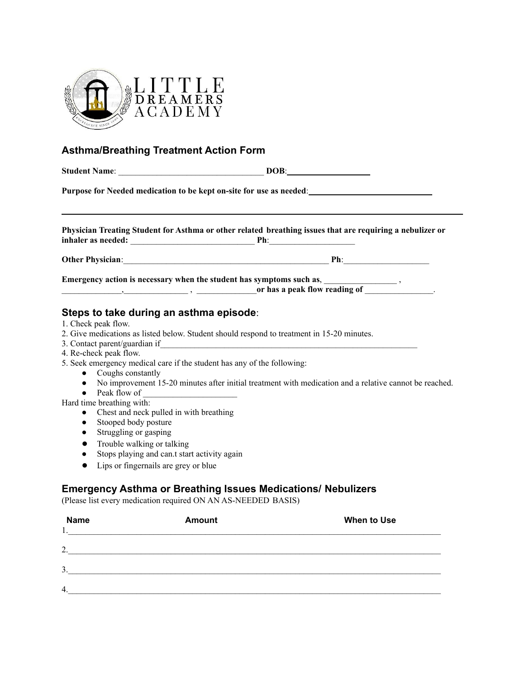

## **Asthma/Breathing Treatment Action Form**

| Purpose for Needed medication to be kept on-site for use as needed:                                                                                         |  |  |  |  |
|-------------------------------------------------------------------------------------------------------------------------------------------------------------|--|--|--|--|
|                                                                                                                                                             |  |  |  |  |
| Physician Treating Student for Asthma or other related breathing issues that are requiring a nebulizer or                                                   |  |  |  |  |
|                                                                                                                                                             |  |  |  |  |
| Emergency action is necessary when the student has symptoms such as, ______________________,<br>$\frac{1}{2}$ or has a peak flow reading of $\frac{1}{2}$ . |  |  |  |  |
| Steps to take during an asthma episode:                                                                                                                     |  |  |  |  |
| 1. Check peak flow.<br>2. Give medications as listed below. Student should respond to treatment in 15-20 minutes.                                           |  |  |  |  |
|                                                                                                                                                             |  |  |  |  |
| 4. Re-check peak flow.                                                                                                                                      |  |  |  |  |
| 5. Seek emergency medical care if the student has any of the following:                                                                                     |  |  |  |  |
| • Coughs constantly                                                                                                                                         |  |  |  |  |
| • No improvement 15-20 minutes after initial treatment with medication and a relative cannot be reached.                                                    |  |  |  |  |
| • Peak flow of $\frac{1}{\sqrt{1-\frac{1}{2}}}\$                                                                                                            |  |  |  |  |
| Hard time breathing with:<br>and the state of the state of the state of the state of the state of the state of the state of the state of the                |  |  |  |  |

- Chest and neck pulled in with breathing
- Stooped body posture
- Struggling or gasping
- Trouble walking or talking
- Stops playing and can.t start activity again
- Lips or fingernails are grey or blue

## **Emergency Asthma or Breathing Issues Medications/ Nebulizers**

(Please list every medication required ON AN AS-NEEDED BASIS)

| <b>Name</b> | <b>Amount</b> | When to Use |
|-------------|---------------|-------------|
| .,          |               |             |
| 2.          |               |             |
| 3.          |               |             |
|             |               |             |
| 4.          |               |             |